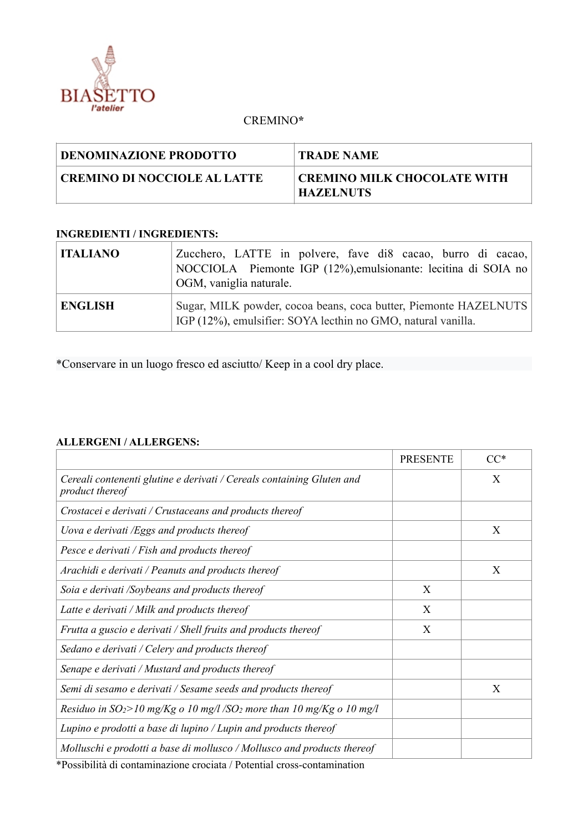

## CREMINO**\***

| DENOMINAZIONE PRODOTTO         | TRADE NAME                                             |
|--------------------------------|--------------------------------------------------------|
| ' CREMINO DI NOCCIOLE AL LATTE | <b>CREMINO MILK CHOCOLATE WITH</b><br><b>HAZELNUTS</b> |

## **INGREDIENTI / INGREDIENTS:**

| <b>ITALIANO</b> | Zucchero, LATTE in polvere, fave di8 cacao, burro di cacao,<br>NOCCIOLA Piemonte IGP (12%), emulsionante: lecitina di SOIA no<br>OGM, vaniglia naturale. |
|-----------------|----------------------------------------------------------------------------------------------------------------------------------------------------------|
| <b>ENGLISH</b>  | Sugar, MILK powder, cocoa beans, coca butter, Piemonte HAZELNUTS<br>IGP (12%), emulsifier: SOYA lecthin no GMO, natural vanilla.                         |

\*Conservare in un luogo fresco ed asciutto/ Keep in a cool dry place.

## **ALLERGENI / ALLERGENS:**

|                                                                                                                                                                                            | <b>PRESENTE</b> | $CC^*$ |
|--------------------------------------------------------------------------------------------------------------------------------------------------------------------------------------------|-----------------|--------|
| Cereali contenenti glutine e derivati / Cereals containing Gluten and<br>product thereof                                                                                                   |                 | X      |
| Crostacei e derivati / Crustaceans and products thereof                                                                                                                                    |                 |        |
| Uova e derivati /Eggs and products thereof                                                                                                                                                 |                 | X      |
| Pesce e derivati / Fish and products thereof                                                                                                                                               |                 |        |
| Arachidi e derivati / Peanuts and products thereof                                                                                                                                         |                 | X      |
| Soia e derivati /Soybeans and products thereof                                                                                                                                             | X               |        |
| Latte e derivati / Milk and products thereof                                                                                                                                               | X               |        |
| Frutta a guscio e derivati / Shell fruits and products thereof                                                                                                                             | X               |        |
| Sedano e derivati / Celery and products thereof                                                                                                                                            |                 |        |
| Senape e derivati / Mustard and products thereof                                                                                                                                           |                 |        |
| Semi di sesamo e derivati / Sesame seeds and products thereof                                                                                                                              |                 | X      |
| Residuo in $SO_2$ >10 mg/Kg o 10 mg/l /SO <sub>2</sub> more than 10 mg/Kg o 10 mg/l                                                                                                        |                 |        |
| Lupino e prodotti a base di lupino / Lupin and products thereof                                                                                                                            |                 |        |
| Molluschi e prodotti a base di mollusco / Mollusco and products thereof<br>the contract of the contract of the contract of the contract of the contract of the contract of the contract of |                 |        |

\*Possibilità di contaminazione crociata / Potential cross-contamination